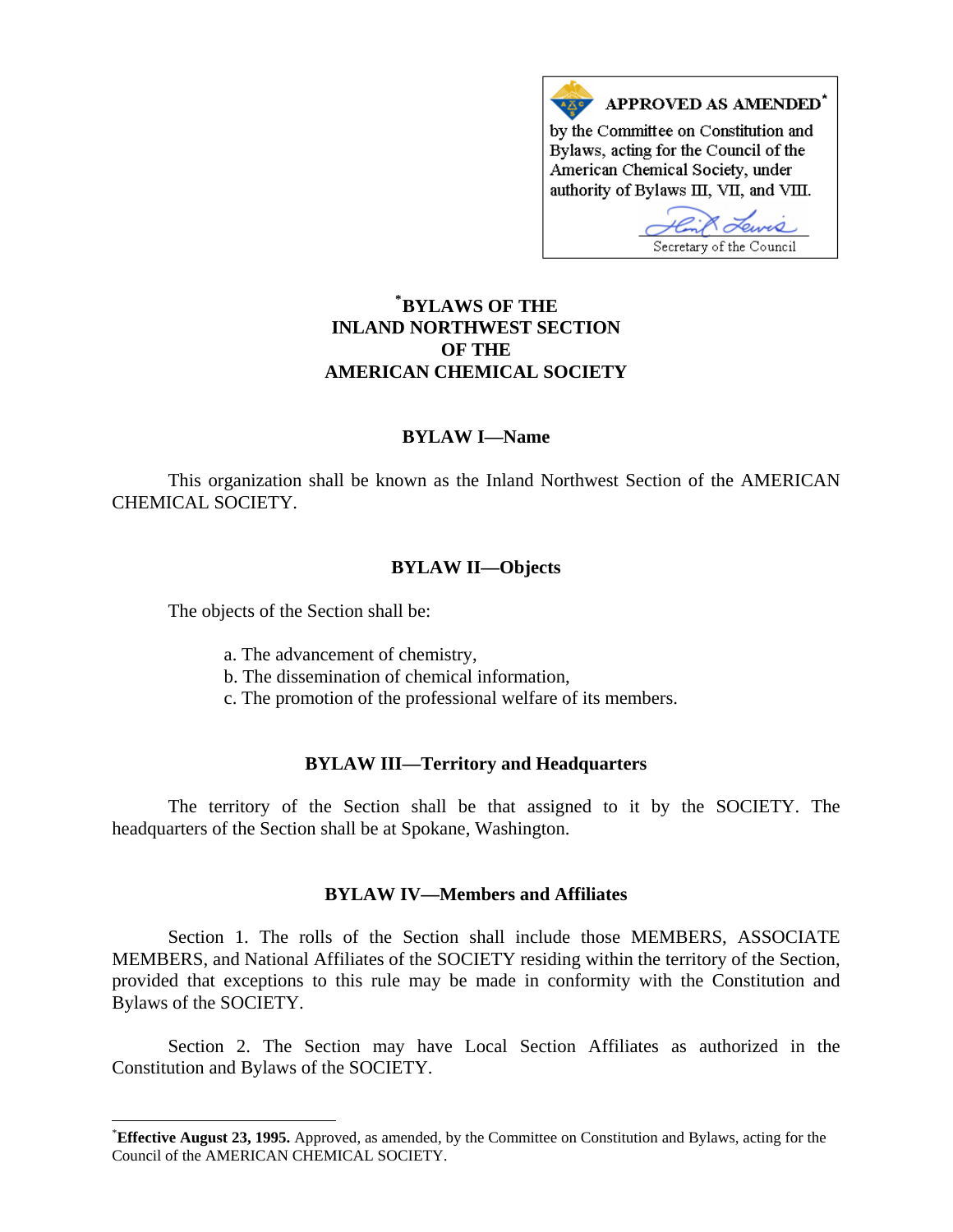

# **\* [BYLAWS OF THE](#page-0-0)  INLAND NORTHWEST SECTION OF THE AMERICAN CHEMICAL SOCIETY**

## **BYLAW I—Name**

This organization shall be known as the Inland Northwest Section of the AMERICAN CHEMICAL SOCIETY.

### **BYLAW II—Objects**

The objects of the Section shall be:

 $\overline{\phantom{a}}$ 

- a. The advancement of chemistry,
- b. The dissemination of chemical information,
- c. The promotion of the professional welfare of its members.

### **BYLAW III—Territory and Headquarters**

The territory of the Section shall be that assigned to it by the SOCIETY. The headquarters of the Section shall be at Spokane, Washington.

## **BYLAW IV—Members and Affiliates**

Section 1. The rolls of the Section shall include those MEMBERS, ASSOCIATE MEMBERS, and National Affiliates of the SOCIETY residing within the territory of the Section, provided that exceptions to this rule may be made in conformity with the Constitution and Bylaws of the SOCIETY.

Section 2. The Section may have Local Section Affiliates as authorized in the Constitution and Bylaws of the SOCIETY.

<span id="page-0-0"></span><sup>\*</sup> **Effective August 23, 1995.** Approved, as amended, by the Committee on Constitution and Bylaws, acting for the Council of the AMERICAN CHEMICAL SOCIETY.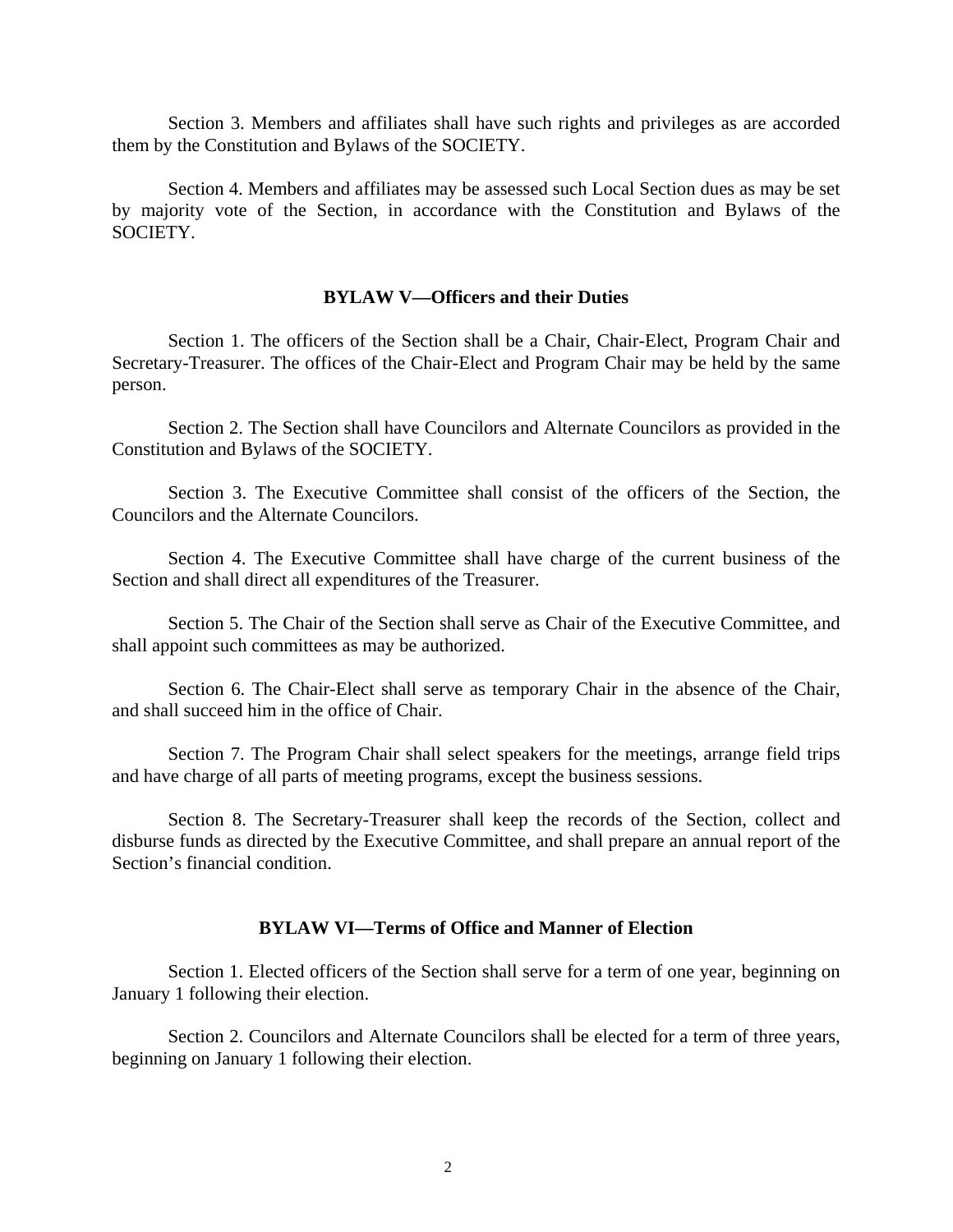Section 3. Members and affiliates shall have such rights and privileges as are accorded them by the Constitution and Bylaws of the SOCIETY.

Section 4. Members and affiliates may be assessed such Local Section dues as may be set by majority vote of the Section, in accordance with the Constitution and Bylaws of the SOCIETY.

### **BYLAW V—Officers and their Duties**

Section 1. The officers of the Section shall be a Chair, Chair-Elect, Program Chair and Secretary-Treasurer. The offices of the Chair-Elect and Program Chair may be held by the same person.

Section 2. The Section shall have Councilors and Alternate Councilors as provided in the Constitution and Bylaws of the SOCIETY.

Section 3. The Executive Committee shall consist of the officers of the Section, the Councilors and the Alternate Councilors.

Section 4. The Executive Committee shall have charge of the current business of the Section and shall direct all expenditures of the Treasurer.

Section 5. The Chair of the Section shall serve as Chair of the Executive Committee, and shall appoint such committees as may be authorized.

Section 6. The Chair-Elect shall serve as temporary Chair in the absence of the Chair, and shall succeed him in the office of Chair.

Section 7. The Program Chair shall select speakers for the meetings, arrange field trips and have charge of all parts of meeting programs, except the business sessions.

Section 8. The Secretary-Treasurer shall keep the records of the Section, collect and disburse funds as directed by the Executive Committee, and shall prepare an annual report of the Section's financial condition.

# **BYLAW VI—Terms of Office and Manner of Election**

Section 1. Elected officers of the Section shall serve for a term of one year, beginning on January 1 following their election.

Section 2. Councilors and Alternate Councilors shall be elected for a term of three years, beginning on January 1 following their election.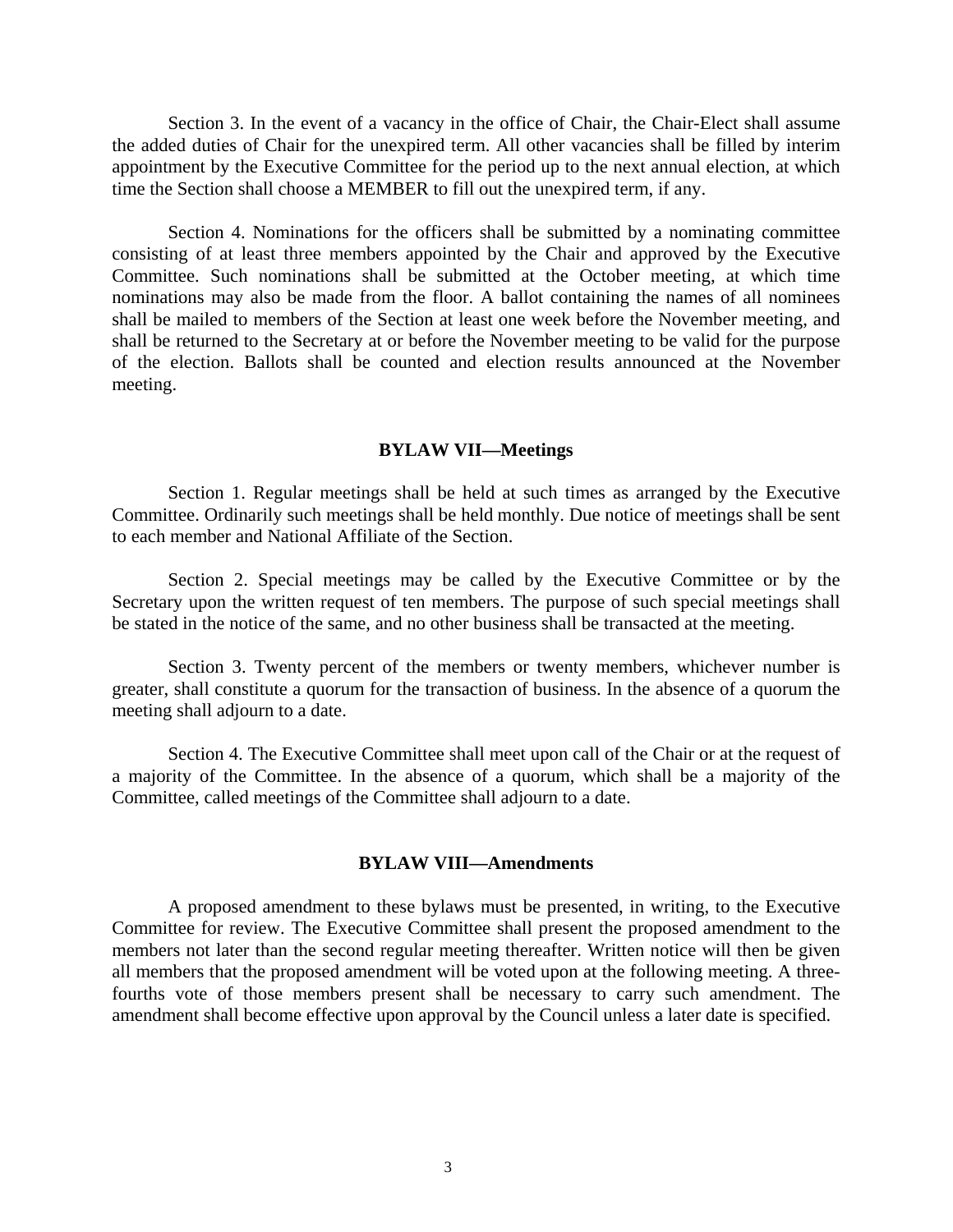Section 3. In the event of a vacancy in the office of Chair, the Chair-Elect shall assume the added duties of Chair for the unexpired term. All other vacancies shall be filled by interim appointment by the Executive Committee for the period up to the next annual election, at which time the Section shall choose a MEMBER to fill out the unexpired term, if any.

Section 4. Nominations for the officers shall be submitted by a nominating committee consisting of at least three members appointed by the Chair and approved by the Executive Committee. Such nominations shall be submitted at the October meeting, at which time nominations may also be made from the floor. A ballot containing the names of all nominees shall be mailed to members of the Section at least one week before the November meeting, and shall be returned to the Secretary at or before the November meeting to be valid for the purpose of the election. Ballots shall be counted and election results announced at the November meeting.

#### **BYLAW VII—Meetings**

Section 1. Regular meetings shall be held at such times as arranged by the Executive Committee. Ordinarily such meetings shall be held monthly. Due notice of meetings shall be sent to each member and National Affiliate of the Section.

Section 2. Special meetings may be called by the Executive Committee or by the Secretary upon the written request of ten members. The purpose of such special meetings shall be stated in the notice of the same, and no other business shall be transacted at the meeting.

Section 3. Twenty percent of the members or twenty members, whichever number is greater, shall constitute a quorum for the transaction of business. In the absence of a quorum the meeting shall adjourn to a date.

Section 4. The Executive Committee shall meet upon call of the Chair or at the request of a majority of the Committee. In the absence of a quorum, which shall be a majority of the Committee, called meetings of the Committee shall adjourn to a date.

### **BYLAW VIII—Amendments**

A proposed amendment to these bylaws must be presented, in writing, to the Executive Committee for review. The Executive Committee shall present the proposed amendment to the members not later than the second regular meeting thereafter. Written notice will then be given all members that the proposed amendment will be voted upon at the following meeting. A threefourths vote of those members present shall be necessary to carry such amendment. The amendment shall become effective upon approval by the Council unless a later date is specified.